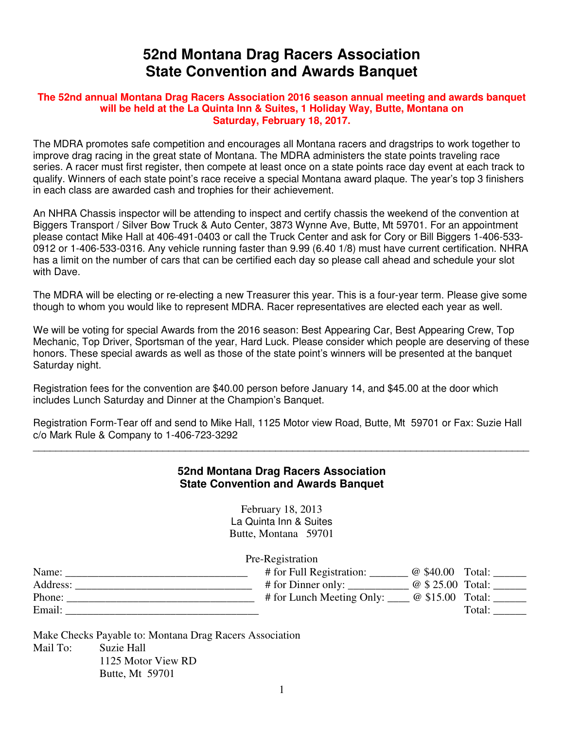## **52nd Montana Drag Racers Association State Convention and Awards Banquet**

## **The 52nd annual Montana Drag Racers Association 2016 season annual meeting and awards banquet will be held at the La Quinta Inn & Suites, 1 Holiday Way, Butte, Montana on Saturday, February 18, 2017.**

The MDRA promotes safe competition and encourages all Montana racers and dragstrips to work together to improve drag racing in the great state of Montana. The MDRA administers the state points traveling race series. A racer must first register, then compete at least once on a state points race day event at each track to qualify. Winners of each state point's race receive a special Montana award plaque. The year's top 3 finishers in each class are awarded cash and trophies for their achievement.

An NHRA Chassis inspector will be attending to inspect and certify chassis the weekend of the convention at Biggers Transport / Silver Bow Truck & Auto Center, 3873 Wynne Ave, Butte, Mt 59701. For an appointment please contact Mike Hall at 406-491-0403 or call the Truck Center and ask for Cory or Bill Biggers 1-406-533- 0912 or 1-406-533-0316. Any vehicle running faster than 9.99 (6.40 1/8) must have current certification. NHRA has a limit on the number of cars that can be certified each day so please call ahead and schedule your slot with Dave.

The MDRA will be electing or re-electing a new Treasurer this year. This is a four-year term. Please give some though to whom you would like to represent MDRA. Racer representatives are elected each year as well.

We will be voting for special Awards from the 2016 season: Best Appearing Car, Best Appearing Crew, Top Mechanic, Top Driver, Sportsman of the year, Hard Luck. Please consider which people are deserving of these honors. These special awards as well as those of the state point's winners will be presented at the banquet Saturday night.

Registration fees for the convention are \$40.00 person before January 14, and \$45.00 at the door which includes Lunch Saturday and Dinner at the Champion's Banquet.

Registration Form-Tear off and send to Mike Hall, 1125 Motor view Road, Butte, Mt 59701 or Fax: Suzie Hall c/o Mark Rule & Company to 1-406-723-3292

## **52nd Montana Drag Racers Association State Convention and Awards Banquet**

\_\_\_\_\_\_\_\_\_\_\_\_\_\_\_\_\_\_\_\_\_\_\_\_\_\_\_\_\_\_\_\_\_\_\_\_\_\_\_\_\_\_\_\_\_\_\_\_\_\_\_\_\_\_\_\_\_\_\_\_\_\_\_\_\_\_\_\_\_\_\_\_\_\_\_\_\_\_\_\_\_\_\_\_\_\_\_\_

February 18, 2013 La Quinta Inn & Suites Butte, Montana 59701

Pre-Registration

| Name:    | # for Full Registration:<br>@ \$40.00 | Total:            |
|----------|---------------------------------------|-------------------|
| Address: | # for Dinner only:                    | @ \$ 25.00 Total: |
| Phone:   | # for Lunch Meeting Only:             | @ \$15.00 Total:  |
| Email:   |                                       | Total:            |

Make Checks Payable to: Montana Drag Racers Association Mail To: Suzie Hall 1125 Motor View RD Butte, Mt 59701